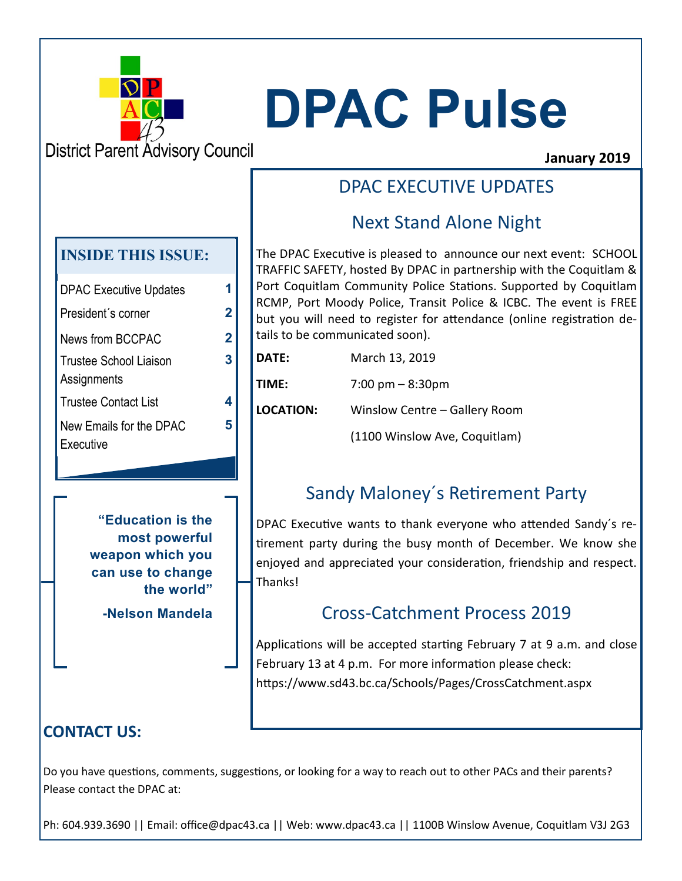

# **DPAC Pulse**

**District Parent Advisory Council** 

#### **January 2019**

## DPAC EXECUTIVE UPDATES

# Next Stand Alone Night

The DPAC Executive is pleased to announce our next event: SCHOOL TRAFFIC SAFETY, hosted By DPAC in partnership with the Coquitlam & Port Coquitlam Community Police Stations. Supported by Coquitlam RCMP, Port Moody Police, Transit Police & ICBC. The event is FREE but you will need to register for attendance (online registration details to be communicated soon).

| DATE:            | March 13, 2019                     |  |
|------------------|------------------------------------|--|
| TIME:            | $7:00 \text{ pm} - 8:30 \text{pm}$ |  |
| <b>LOCATION:</b> | Winslow Centre - Gallery Room      |  |
|                  | (1100 Winslow Ave, Coquitlam)      |  |

# Sandy Maloney´s Retirement Party

DPAC Executive wants to thank everyone who attended Sandy´s retirement party during the busy month of December. We know she enjoyed and appreciated your consideration, friendship and respect. Thanks!

## Cross-Catchment Process 2019

Applications will be accepted starting February 7 at 9 a.m. and close February 13 at 4 p.m. For more information please check: https://www.sd43.bc.ca/Schools/Pages/CrossCatchment.aspx

## **CONTACT US:**

Do you have questions, comments, suggestions, or looking for a way to reach out to other PACs and their parents? Please contact the DPAC at:

Ph: 604.939.3690 || Email: office@dpac43.ca || Web: www.dpac43.ca || 1100B Winslow Avenue, Coquitlam V3J 2G3

#### **INSIDE THIS ISSUE:**

| <b>DPAC Executive Updates</b>         | 1 |
|---------------------------------------|---|
| President's corner                    | 2 |
| News from BCCPAC                      | 2 |
| Trustee School Liaison<br>Assignments | 3 |
| <b>Trustee Contact List</b>           | 4 |
| New Emails for the DPAC<br>Executive  | 5 |

**3**

**5**

**"Education is the most powerful weapon which you can use to change the world"**

**-Nelson Mandela**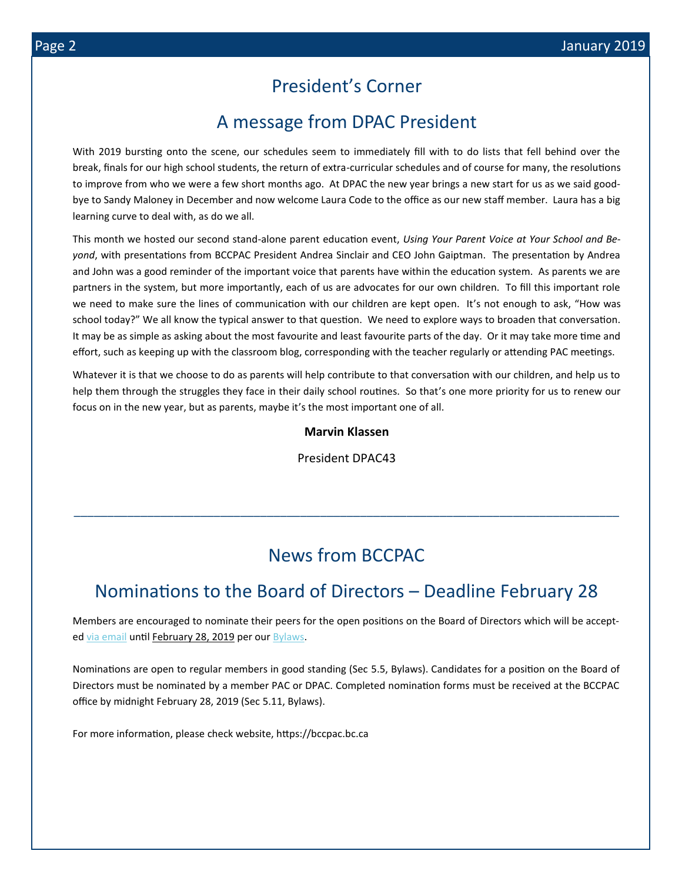#### President's Corner

#### A message from DPAC President

With 2019 bursting onto the scene, our schedules seem to immediately fill with to do lists that fell behind over the break, finals for our high school students, the return of extra-curricular schedules and of course for many, the resolutions to improve from who we were a few short months ago. At DPAC the new year brings a new start for us as we said goodbye to Sandy Maloney in December and now welcome Laura Code to the office as our new staff member. Laura has a big learning curve to deal with, as do we all.

This month we hosted our second stand-alone parent education event, *Using Your Parent Voice at Your School and Beyond*, with presentations from BCCPAC President Andrea Sinclair and CEO John Gaiptman. The presentation by Andrea and John was a good reminder of the important voice that parents have within the education system. As parents we are partners in the system, but more importantly, each of us are advocates for our own children. To fill this important role we need to make sure the lines of communication with our children are kept open. It's not enough to ask, "How was school today?" We all know the typical answer to that question. We need to explore ways to broaden that conversation. It may be as simple as asking about the most favourite and least favourite parts of the day. Or it may take more time and effort, such as keeping up with the classroom blog, corresponding with the teacher regularly or attending PAC meetings.

Whatever it is that we choose to do as parents will help contribute to that conversation with our children, and help us to help them through the struggles they face in their daily school routines. So that's one more priority for us to renew our focus on in the new year, but as parents, maybe it's the most important one of all.

#### **Marvin Klassen**

President DPAC43

## News from BCCPAC

\_\_\_\_\_\_\_\_\_\_\_\_\_\_\_\_\_\_\_\_\_\_\_\_\_\_\_\_\_\_\_\_\_\_\_\_\_\_\_\_\_\_\_\_\_\_\_\_\_\_\_\_\_\_\_\_\_\_\_\_\_\_\_\_\_\_\_\_\_\_\_\_\_\_\_\_\_\_\_\_\_\_

### Nominations to the Board of Directors – Deadline February 28

Members are encouraged to nominate their peers for the open positions on the Board of Directors which will be accepted [via email](mailto:info@bccpac.bc.ca?subject=Nomination) until February 28, 2019 per our [Bylaws.](https://bccpac.us3.list-manage.com/track/click?u=5ce4c360a02f3e3d90abca386&id=b88e928879&e=a037f37554)

Nominations are open to regular members in good standing (Sec 5.5, Bylaws). Candidates for a position on the Board of Directors must be nominated by a member PAC or DPAC. Completed nomination forms must be received at the BCCPAC office by midnight February 28, 2019 (Sec 5.11, Bylaws).

For more information, please check website, https://bccpac.bc.ca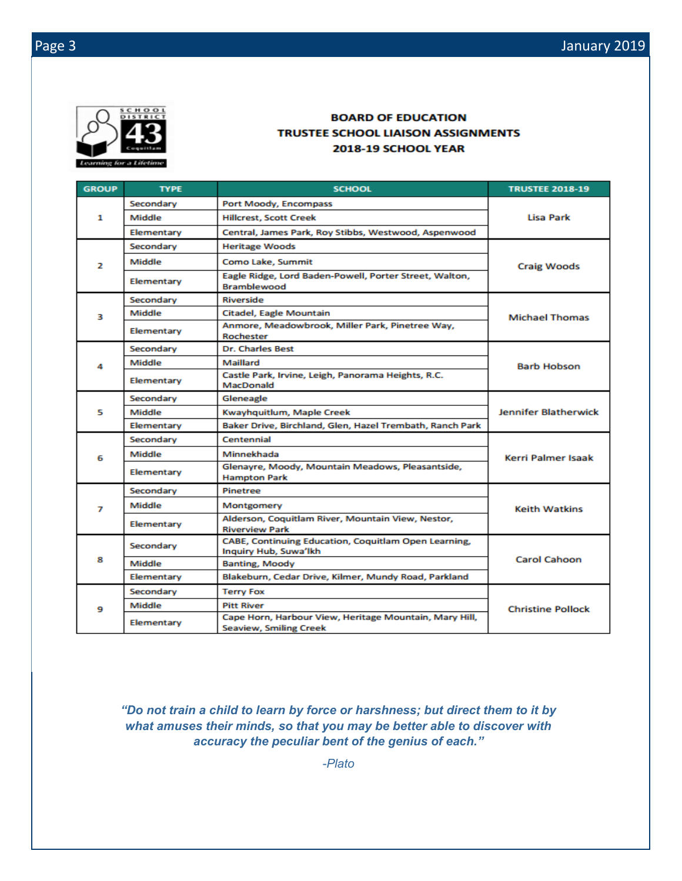

#### **BOARD OF EDUCATION TRUSTEE SCHOOL LIAISON ASSIGNMENTS** 2018-19 SCHOOL YEAR

| <b>GROUP</b> | <b>TYPE</b> | <b>SCHOOL</b>                                                                           | <b>TRUSTEE 2018-19</b>      |  |
|--------------|-------------|-----------------------------------------------------------------------------------------|-----------------------------|--|
| 1            | Secondary   | Port Moody, Encompass                                                                   | Lisa Park                   |  |
|              | Middle      | <b>Hillcrest, Scott Creek</b>                                                           |                             |  |
|              | Elementary  | Central, James Park, Roy Stibbs, Westwood, Aspenwood                                    |                             |  |
|              | Secondary   | <b>Heritage Woods</b>                                                                   |                             |  |
| 2            | Middle      | Como Lake, Summit                                                                       | <b>Craig Woods</b>          |  |
|              | Elementary  | Eagle Ridge, Lord Baden-Powell, Porter Street, Walton,<br><b>Bramblewood</b>            |                             |  |
|              | Secondary   | Riverside                                                                               | <b>Michael Thomas</b>       |  |
| в            | Middle      | Citadel, Eagle Mountain                                                                 |                             |  |
|              | Elementary  | Anmore, Meadowbrook, Miller Park, Pinetree Way,<br>Rochester                            |                             |  |
|              | Secondary   | <b>Dr. Charles Best</b>                                                                 |                             |  |
| 4            | Middle      | Maillard                                                                                | <b>Barb Hobson</b>          |  |
|              | Elementary  | Castle Park, Irvine, Leigh, Panorama Heights, R.C.<br>MacDonald                         |                             |  |
|              | Secondary   | Gleneagle                                                                               | <b>Jennifer Blatherwick</b> |  |
| 5            | Middle      | Kwayhquitlum, Maple Creek                                                               |                             |  |
|              | Elementary  | Baker Drive, Birchland, Glen, Hazel Trembath, Ranch Park                                |                             |  |
| 6            | Secondary   | Centennial                                                                              | Kerri Palmer Isaak          |  |
|              | Middle      | Minnekhada                                                                              |                             |  |
|              | Elementary  | Glenayre, Moody, Mountain Meadows, Pleasantside,<br><b>Hampton Park</b>                 |                             |  |
| 7            | Secondary   | Pinetree                                                                                |                             |  |
|              | Middle      | Montgomery                                                                              | Keith Watkins               |  |
|              | Elementary  | Alderson, Coquitlam River, Mountain View, Nestor,<br><b>Riverview Park</b>              |                             |  |
| 8            | Secondary   | CABE, Continuing Education, Coquitlam Open Learning,<br>Inquiry Hub, Suwa'lkh           |                             |  |
|              | Middle      | <b>Banting, Moody</b>                                                                   | <b>Carol Cahoon</b>         |  |
|              | Elementary  | Blakeburn, Cedar Drive, Kilmer, Mundy Road, Parkland                                    |                             |  |
| 9            | Secondary   | <b>Terry Fox</b>                                                                        |                             |  |
|              | Middle      | <b>Pitt River</b>                                                                       | <b>Christine Pollock</b>    |  |
|              | Elementary  | Cape Horn, Harbour View, Heritage Mountain, Mary Hill,<br><b>Seaview, Smiling Creek</b> |                             |  |

*"Do not train a child to learn by force or harshness; but direct them to it by what amuses their minds, so that you may be better able to discover with accuracy the peculiar bent of the genius of each."*

*-Plato*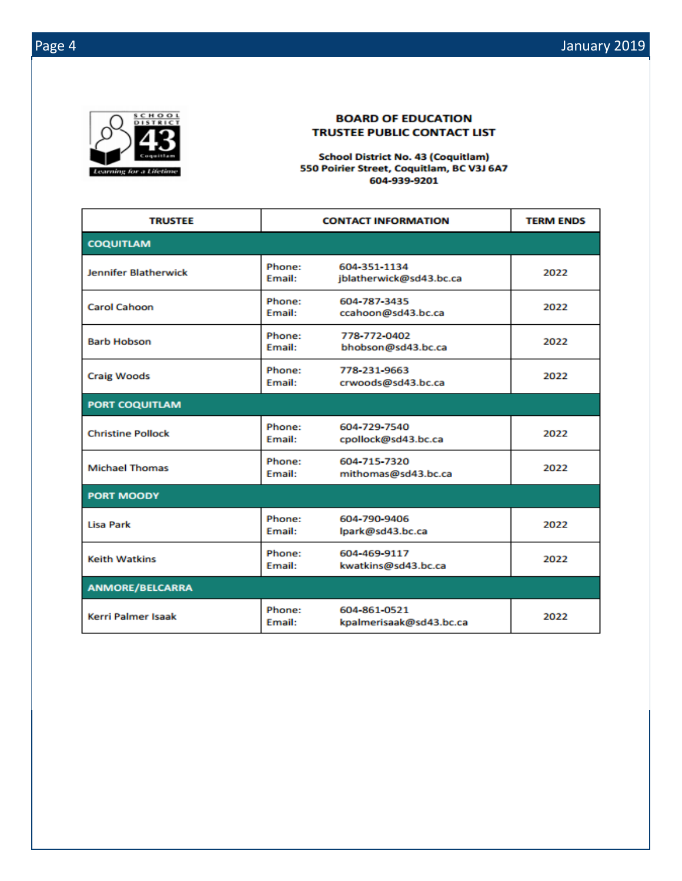

#### **BOARD OF EDUCATION TRUSTEE PUBLIC CONTACT LIST**

**School District No. 43 (Coquitlam)** 550 Poirier Street, Coquitlam, BC V3J 6A7 604-939-9201

| <b>TRUSTEE</b>              | <b>CONTACT INFORMATION</b>                              |                                         | <b>TERM ENDS</b> |  |  |
|-----------------------------|---------------------------------------------------------|-----------------------------------------|------------------|--|--|
| <b>COQUITLAM</b>            |                                                         |                                         |                  |  |  |
| <b>Jennifer Blatherwick</b> | Phone:<br><b>Fmail:</b>                                 | 604-351-1134<br>jblatherwick@sd43.bc.ca | 2022             |  |  |
| <b>Carol Cahoon</b>         | Phone:<br><b>Email:</b>                                 | 604-787-3435<br>ccahoon@sd43.bc.ca      | 2022             |  |  |
| <b>Barb Hobson</b>          | Phone:<br><b>Email:</b>                                 | 778-772-0402<br>bhobson@sd43.bc.ca      | 2022             |  |  |
| <b>Craig Woods</b>          | Phone:<br>Email:                                        | 778-231-9663<br>crwoods@sd43.bc.ca      | 2022             |  |  |
| <b>PORT COQUITLAM</b>       |                                                         |                                         |                  |  |  |
| <b>Christine Pollock</b>    | Phone:<br>Email:                                        | 604-729-7540<br>cpollock@sd43.bc.ca     | 2022             |  |  |
| <b>Michael Thomas</b>       | Phone:<br>604-715-7320<br>mithomas@sd43.bc.ca<br>Email: |                                         | 2022             |  |  |
| <b>PORT MOODY</b>           |                                                         |                                         |                  |  |  |
| <b>Lisa Park</b>            | Phone:<br><b>Email:</b>                                 | 604-790-9406<br>lpark@sd43.bc.ca        | 2022             |  |  |
| <b>Keith Watkins</b>        | Phone:<br>Email:                                        | 604-469-9117<br>kwatkins@sd43.bc.ca     | 2022             |  |  |
| <b>ANMORE/BELCARRA</b>      |                                                         |                                         |                  |  |  |
| <b>Kerri Palmer Isaak</b>   | Phone:<br><b>Email:</b>                                 | 604-861-0521<br>kpalmerisaak@sd43.bc.ca | 2022             |  |  |